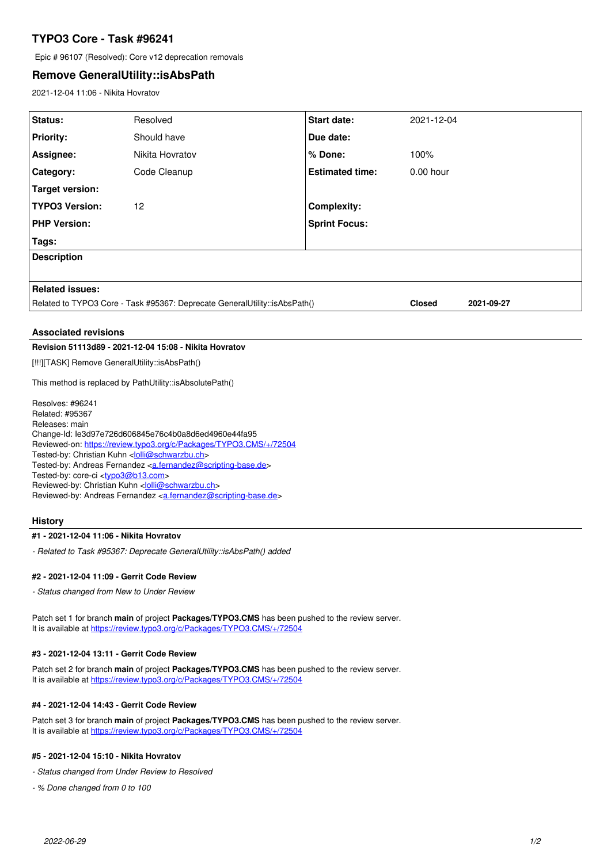# **TYPO3 Core - Task #96241**

Epic # 96107 (Resolved): Core v12 deprecation removals

## **Remove GeneralUtility::isAbsPath**

2021-12-04 11:06 - Nikita Hovratov

| Status:                                                                    | Resolved        | <b>Start date:</b>     | 2021-12-04                  |  |
|----------------------------------------------------------------------------|-----------------|------------------------|-----------------------------|--|
| <b>Priority:</b>                                                           | Should have     | Due date:              |                             |  |
| Assignee:                                                                  | Nikita Hovratov | % Done:                | 100%                        |  |
| <b>Category:</b>                                                           | Code Cleanup    | <b>Estimated time:</b> | $0.00$ hour                 |  |
| Target version:                                                            |                 |                        |                             |  |
| <b>TYPO3 Version:</b>                                                      | 12              | <b>Complexity:</b>     |                             |  |
| <b>PHP Version:</b>                                                        |                 | <b>Sprint Focus:</b>   |                             |  |
| Tags:                                                                      |                 |                        |                             |  |
| <b>Description</b>                                                         |                 |                        |                             |  |
|                                                                            |                 |                        |                             |  |
| <b>Related issues:</b>                                                     |                 |                        |                             |  |
| Related to TYPO3 Core - Task #95367: Deprecate GeneralUtility::isAbsPath() |                 |                        | <b>Closed</b><br>2021-09-27 |  |
|                                                                            |                 |                        |                             |  |

#### **Associated revisions**

#### **Revision 51113d89 - 2021-12-04 15:08 - Nikita Hovratov**

[!!!][TASK] Remove GeneralUtility::isAbsPath()

This method is replaced by PathUtility::isAbsolutePath()

Resolves: #96241 Related: #95367 Releases: main Change-Id: Ie3d97e726d606845e76c4b0a8d6ed4960e44fa95 Reviewed-on:<https://review.typo3.org/c/Packages/TYPO3.CMS/+/72504> Tested-by: Christian Kuhn <[lolli@schwarzbu.ch](mailto:lolli@schwarzbu.ch)> Tested-by: Andreas Fernandez [<a.fernandez@scripting-base.de>](mailto:a.fernandez@scripting-base.de) Tested-by: core-ci [<typo3@b13.com](mailto:typo3@b13.com)> Reviewed-by: Christian Kuhn [<lolli@schwarzbu.ch>](mailto:lolli@schwarzbu.ch) Reviewed-by: Andreas Fernandez [<a.fernandez@scripting-base.de](mailto:a.fernandez@scripting-base.de)>

#### **History**

#### **#1 - 2021-12-04 11:06 - Nikita Hovratov**

*- Related to Task #95367: Deprecate GeneralUtility::isAbsPath() added*

### **#2 - 2021-12-04 11:09 - Gerrit Code Review**

*- Status changed from New to Under Review*

Patch set 1 for branch **main** of project **Packages/TYPO3.CMS** has been pushed to the review server. It is available at <https://review.typo3.org/c/Packages/TYPO3.CMS/+/72504>

#### **#3 - 2021-12-04 13:11 - Gerrit Code Review**

Patch set 2 for branch **main** of project **Packages/TYPO3.CMS** has been pushed to the review server. It is available at <https://review.typo3.org/c/Packages/TYPO3.CMS/+/72504>

#### **#4 - 2021-12-04 14:43 - Gerrit Code Review**

Patch set 3 for branch **main** of project **Packages/TYPO3.CMS** has been pushed to the review server. It is available at <https://review.typo3.org/c/Packages/TYPO3.CMS/+/72504>

#### **#5 - 2021-12-04 15:10 - Nikita Hovratov**

*- Status changed from Under Review to Resolved*

*- % Done changed from 0 to 100*